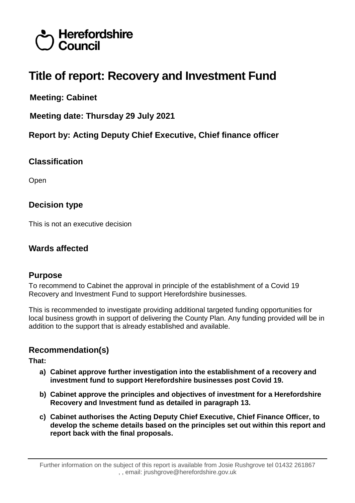# Herefordshire Council

# **Title of report: Recovery and Investment Fund**

**Meeting: Cabinet**

**Meeting date: Thursday 29 July 2021**

**Report by: Acting Deputy Chief Executive, Chief finance officer**

# **Classification**

Open

# **Decision type**

This is not an executive decision

# **Wards affected**

# **Purpose**

To recommend to Cabinet the approval in principle of the establishment of a Covid 19 Recovery and Investment Fund to support Herefordshire businesses.

This is recommended to investigate providing additional targeted funding opportunities for local business growth in support of delivering the County Plan. Any funding provided will be in addition to the support that is already established and available.

# **Recommendation(s)**

**That:**

- **a) Cabinet approve further investigation into the establishment of a recovery and investment fund to support Herefordshire businesses post Covid 19.**
- **b) Cabinet approve the principles and objectives of investment for a Herefordshire Recovery and Investment fund as detailed in paragraph 13.**
- **c) Cabinet authorises the Acting Deputy Chief Executive, Chief Finance Officer, to develop the scheme details based on the principles set out within this report and report back with the final proposals.**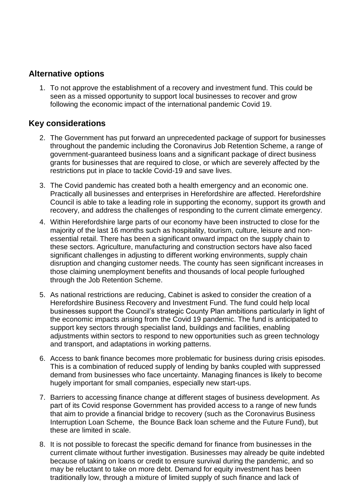### **Alternative options**

1. To not approve the establishment of a recovery and investment fund. This could be seen as a missed opportunity to support local businesses to recover and grow following the economic impact of the international pandemic Covid 19.

# **Key considerations**

- 2. The Government has put forward an unprecedented package of support for businesses throughout the pandemic including the Coronavirus Job Retention Scheme, a range of government-guaranteed business loans and a significant package of direct business grants for businesses that are required to close, or which are severely affected by the restrictions put in place to tackle Covid-19 and save lives.
- 3. The Covid pandemic has created both a health emergency and an economic one. Practically all businesses and enterprises in Herefordshire are affected. Herefordshire Council is able to take a leading role in supporting the economy, support its growth and recovery, and address the challenges of responding to the current climate emergency.
- 4. Within Herefordshire large parts of our economy have been instructed to close for the majority of the last 16 months such as hospitality, tourism, culture, leisure and nonessential retail. There has been a significant onward impact on the supply chain to these sectors. Agriculture, manufacturing and construction sectors have also faced significant challenges in adjusting to different working environments, supply chain disruption and changing customer needs. The county has seen significant increases in those claiming unemployment benefits and thousands of local people furloughed through the Job Retention Scheme.
- 5. As national restrictions are reducing, Cabinet is asked to consider the creation of a Herefordshire Business Recovery and Investment Fund. The fund could help local businesses support the Council's strategic County Plan ambitions particularly in light of the economic impacts arising from the Covid 19 pandemic. The fund is anticipated to support key sectors through specialist land, buildings and facilities, enabling adjustments within sectors to respond to new opportunities such as green technology and transport, and adaptations in working patterns.
- 6. Access to bank finance becomes more problematic for business during crisis episodes. This is a combination of reduced supply of lending by banks coupled with suppressed demand from businesses who face uncertainty. Managing finances is likely to become hugely important for small companies, especially new start-ups.
- 7. Barriers to accessing finance change at different stages of business development. As part of its Covid response Government has provided access to a range of new funds that aim to provide a financial bridge to recovery (such as the Coronavirus Business Interruption Loan Scheme, the Bounce Back loan scheme and the Future Fund), but these are limited in scale.
- 8. It is not possible to forecast the specific demand for finance from businesses in the current climate without further investigation. Businesses may already be quite indebted because of taking on loans or credit to ensure survival during the pandemic, and so may be reluctant to take on more debt. Demand for equity investment has been traditionally low, through a mixture of limited supply of such finance and lack of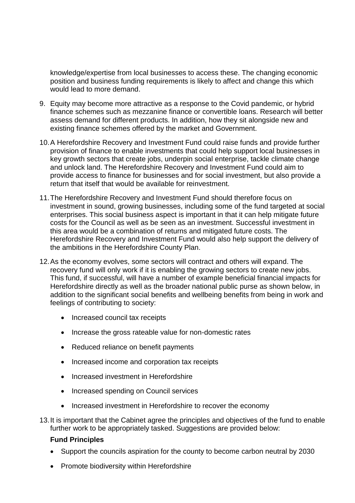knowledge/expertise from local businesses to access these. The changing economic position and business funding requirements is likely to affect and change this which would lead to more demand.

- 9. Equity may become more attractive as a response to the Covid pandemic, or hybrid finance schemes such as mezzanine finance or convertible loans. Research will better assess demand for different products. In addition, how they sit alongside new and existing finance schemes offered by the market and Government.
- 10.A Herefordshire Recovery and Investment Fund could raise funds and provide further provision of finance to enable investments that could help support local businesses in key growth sectors that create jobs, underpin social enterprise, tackle climate change and unlock land. The Herefordshire Recovery and Investment Fund could aim to provide access to finance for businesses and for social investment, but also provide a return that itself that would be available for reinvestment.
- 11.The Herefordshire Recovery and Investment Fund should therefore focus on investment in sound, growing businesses, including some of the fund targeted at social enterprises. This social business aspect is important in that it can help mitigate future costs for the Council as well as be seen as an investment. Successful investment in this area would be a combination of returns and mitigated future costs. The Herefordshire Recovery and Investment Fund would also help support the delivery of the ambitions in the Herefordshire County Plan.
- 12.As the economy evolves, some sectors will contract and others will expand. The recovery fund will only work if it is enabling the growing sectors to create new jobs. This fund, if successful, will have a number of example beneficial financial impacts for Herefordshire directly as well as the broader national public purse as shown below, in addition to the significant social benefits and wellbeing benefits from being in work and feelings of contributing to society:
	- Increased council tax receipts
	- Increase the gross rateable value for non-domestic rates
	- Reduced reliance on benefit payments
	- Increased income and corporation tax receipts
	- Increased investment in Herefordshire
	- Increased spending on Council services
	- Increased investment in Herefordshire to recover the economy
- 13.It is important that the Cabinet agree the principles and objectives of the fund to enable further work to be appropriately tasked. Suggestions are provided below:

#### **Fund Principles**

- Support the councils aspiration for the county to become carbon neutral by 2030
- Promote biodiversity within Herefordshire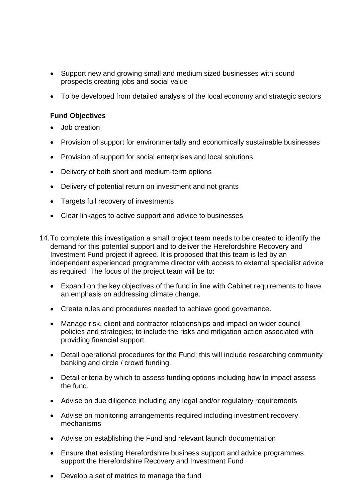- Support new and growing small and medium sized businesses with sound prospects creating jobs and social value
- To be developed from detailed analysis of the local economy and strategic sectors

#### **Fund Objectives**

- Job creation
- Provision of support for environmentally and economically sustainable businesses
- Provision of support for social enterprises and local solutions
- Delivery of both short and medium-term options
- Delivery of potential return on investment and not grants
- Targets full recovery of investments
- Clear linkages to active support and advice to businesses
- 14.To complete this investigation a small project team needs to be created to identify the demand for this potential support and to deliver the Herefordshire Recovery and Investment Fund project if agreed. It is proposed that this team is led by an independent experienced programme director with access to external specialist advice as required. The focus of the project team will be to:
	- Expand on the key objectives of the fund in line with Cabinet requirements to have an emphasis on addressing climate change.
	- Create rules and procedures needed to achieve good governance.
	- Manage risk, client and contractor relationships and impact on wider council policies and strategies; to include the risks and mitigation action associated with providing financial support.
	- Detail operational procedures for the Fund; this will include researching community banking and circle / crowd funding.
	- Detail criteria by which to assess funding options including how to impact assess the fund.
	- Advise on due diligence including any legal and/or regulatory requirements
	- Advise on monitoring arrangements required including investment recovery mechanisms
	- Advise on establishing the Fund and relevant launch documentation
	- Ensure that existing Herefordshire business support and advice programmes support the Herefordshire Recovery and Investment Fund
	- Develop a set of metrics to manage the fund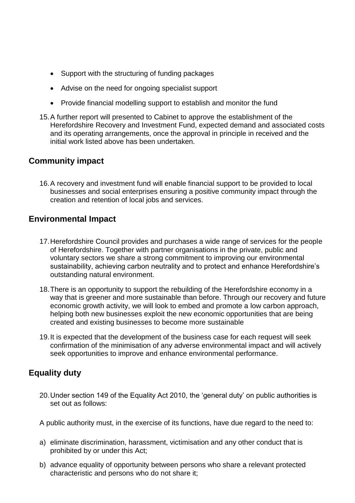- Support with the structuring of funding packages
- Advise on the need for ongoing specialist support
- Provide financial modelling support to establish and monitor the fund
- 15.A further report will presented to Cabinet to approve the establishment of the Herefordshire Recovery and Investment Fund, expected demand and associated costs and its operating arrangements, once the approval in principle in received and the initial work listed above has been undertaken.

# **Community impact**

16.A recovery and investment fund will enable financial support to be provided to local businesses and social enterprises ensuring a positive community impact through the creation and retention of local jobs and services.

# **Environmental Impact**

- 17.Herefordshire Council provides and purchases a wide range of services for the people of Herefordshire. Together with partner organisations in the private, public and voluntary sectors we share a strong commitment to improving our environmental sustainability, achieving carbon neutrality and to protect and enhance Herefordshire's outstanding natural environment.
- 18.There is an opportunity to support the rebuilding of the Herefordshire economy in a way that is greener and more sustainable than before. Through our recovery and future economic growth activity, we will look to embed and promote a low carbon approach, helping both new businesses exploit the new economic opportunities that are being created and existing businesses to become more sustainable
- 19.It is expected that the development of the business case for each request will seek confirmation of the minimisation of any adverse environmental impact and will actively seek opportunities to improve and enhance environmental performance.

# **Equality duty**

20.Under section 149 of the Equality Act 2010, the 'general duty' on public authorities is set out as follows:

A public authority must, in the exercise of its functions, have due regard to the need to:

- a) eliminate discrimination, harassment, victimisation and any other conduct that is prohibited by or under this Act;
- b) advance equality of opportunity between persons who share a relevant protected characteristic and persons who do not share it;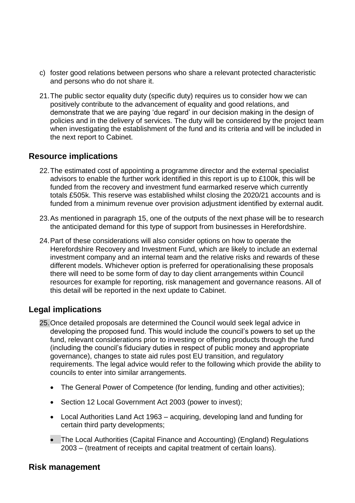- c) foster good relations between persons who share a relevant protected characteristic and persons who do not share it.
- 21.The public sector equality duty (specific duty) requires us to consider how we can positively contribute to the advancement of equality and good relations, and demonstrate that we are paying 'due regard' in our decision making in the design of policies and in the delivery of services. The duty will be considered by the project team when investigating the establishment of the fund and its criteria and will be included in the next report to Cabinet.

### **Resource implications**

- 22.The estimated cost of appointing a programme director and the external specialist advisors to enable the further work identified in this report is up to £100k, this will be funded from the recovery and investment fund earmarked reserve which currently totals £505k. This reserve was established whilst closing the 2020/21 accounts and is funded from a minimum revenue over provision adjustment identified by external audit.
- 23.As mentioned in paragraph 15, one of the outputs of the next phase will be to research the anticipated demand for this type of support from businesses in Herefordshire.
- 24.Part of these considerations will also consider options on how to operate the Herefordshire Recovery and Investment Fund, which are likely to include an external investment company and an internal team and the relative risks and rewards of these different models. Whichever option is preferred for operationalising these proposals there will need to be some form of day to day client arrangements within Council resources for example for reporting, risk management and governance reasons. All of this detail will be reported in the next update to Cabinet.

# **Legal implications**

- 25.Once detailed proposals are determined the Council would seek legal advice in developing the proposed fund. This would include the council's powers to set up the fund, relevant considerations prior to investing or offering products through the fund (including the council's fiduciary duties in respect of public money and appropriate governance), changes to state aid rules post EU transition, and regulatory requirements. The legal advice would refer to the following which provide the ability to councils to enter into similar arrangements.
	- The General Power of Competence (for lending, funding and other activities);
	- Section 12 Local Government Act 2003 (power to invest);
	- Local Authorities Land Act 1963 acquiring, developing land and funding for certain third party developments;
	- The Local Authorities (Capital Finance and Accounting) (England) Regulations 2003 – (treatment of receipts and capital treatment of certain loans).

#### **Risk management**